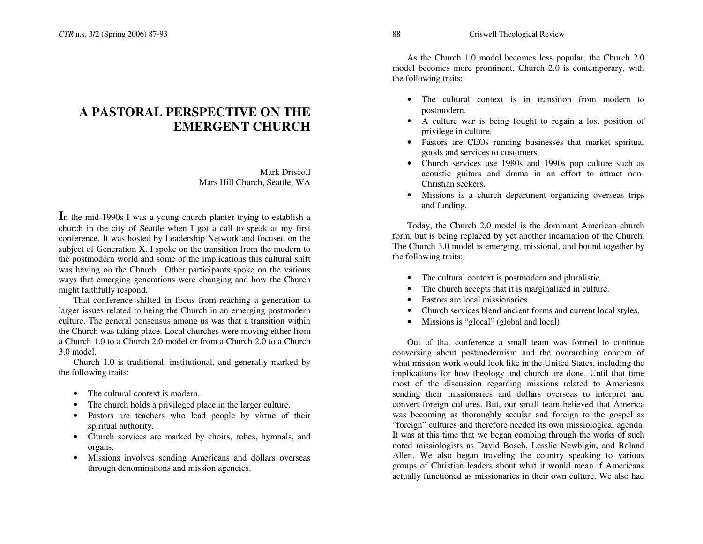## **A PASTORAL PERSPECTIVE ON THE EMERGENT CHURCH**

Mark Driscoll Mars Hill Church, Seattle, WA

**I**n the mid-1990s I was <sup>a</sup> young church planter trying to establish <sup>a</sup> church in the city of Seattle when I go<sup>t</sup> <sup>a</sup> call to speak at my first conference. It was hosted by Leadership Network and focused on the subject of Generation X. I spoke on the transition from the modern to the postmodern world and some of the implications this cultural shift was having on the Church. Other participants spoke on the various ways that emerging generations were changing and how the Church might faithfully respond.

That conference shifted in focus from reaching <sup>a</sup> generation to larger issues related to being the Church in an emerging postmodern culture. The general consensus among us was that <sup>a</sup> transition within the Church was taking place. Local churches were moving either from a Church 1.0 to <sup>a</sup> Church 2.0 model or from <sup>a</sup> Church 2.0 to <sup>a</sup> Church 3.0 model.

Church 1.0 is traditional, institutional, and generally marked by the following traits:

- The cultural context is modern.
- The church holds a privileged place in the larger culture.
- Pastors are teachers who lead people by virtue of their spiritual authority.
- Church services are marked by choirs, robes, hymnals, and organs.
- Missions involves sending Americans and dollars overseas through denominations and mission agencies.

As the Church 1.0 model becomes less popular, the Church 2.0 model becomes more prominent. Church 2.0 is contemporary, with the following traits:

- The cultural context is in transition from modern to postmodern.
- A culture war is being fought to regain <sup>a</sup> lost position of privilege in culture.
- Pastors are CEOs running businesses that market spiritual goods and services to customers.
- Church services use 1980s and 1990s pop culture such as acoustic guitars and drama in an effort to attract non-Christian seekers.
- Missions is <sup>a</sup> church department organizing overseas trips and funding.

Today, the Church 2.0 model is the dominant American church form, but is being replaced by ye<sup>t</sup> another incarnation of the Church. The Church 3.0 model is emerging, missional, and bound together by the following traits:

- The cultural context is postmodern and pluralistic.
- •• The church accepts that it is marginalized in culture.
- Pastors are local missionaries.
- Church services blend ancient forms and current local styles.
- •Missions is "glocal" (global and local).

Out of that conference <sup>a</sup> small team was formed to continue conversing about postmodernism and the overarching concern of what mission work would look like in the United States, including the implications for how theology and church are done. Until that time most of the discussion regarding missions related to Americans sending their missionaries and dollars overseas to interpret and convert foreign cultures. But, our small team believed that America was becoming as thoroughly secular and foreign to the gospel as "foreign" cultures and therefore needed its own missiological agenda. It was at this time that we began combing through the works of such noted missiologists as David Bosch, Lesslie Newbigin, and Roland Allen. We also began traveling the country speaking to various groups of Christian leaders about what it would mean if Americans actually functioned as missionaries in their own culture. We also had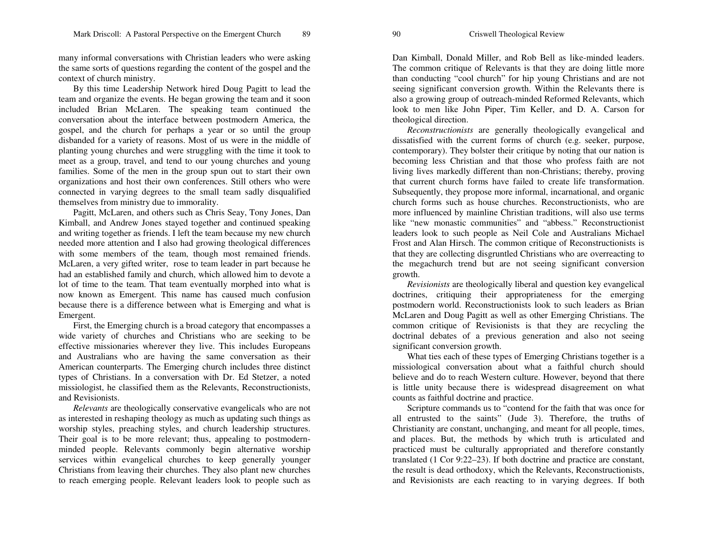many informal conversations with Christian leaders who were asking the same sorts of questions regarding the content of the gospel and the context of church ministry.

By this time Leadership Network hired Doug Pagitt to lead the team and organize the events. He began growing the team and it soon included Brian McLaren. The speaking team continued the conversation about the interface between postmodern America, the gospel, and the church for perhaps <sup>a</sup> year or so until the group disbanded for <sup>a</sup> variety of reasons. Most of us were in the middle of planting young churches and were struggling with the time it took to meet as a group, travel, and tend to our young churches and young families. Some of the men in the group spun out to start their own organizations and host their own conferences. Still others who were connected in varying degrees to the small team sadly disqualified themselves from ministry due to immorality.

Pagitt, McLaren, and others such as Chris Seay, Tony Jones, Dan Kimball, and Andrew Jones stayed together and continued speaking and writing together as friends. I left the team because my new church needed more attention and I also had growing theological differences with some members of the team, though most remained friends. McLaren, <sup>a</sup> very gifted writer, rose to team leader in par<sup>t</sup> because he had an established family and church, which allowed him to devote <sup>a</sup> lot of time to the team. That team eventually morphed into what is now known as Emergent. This name has caused much confusion because there is <sup>a</sup> difference between what is Emerging and what is Emergent.

First, the Emerging church is <sup>a</sup> broad category that encompasses <sup>a</sup> wide variety of churches and Christians who are seeking to be effective missionaries wherever they live. This includes Europeans and Australians who are having the same conversation as their American counterparts. The Emerging church includes three distinct types of Christians. In <sup>a</sup> conversation with Dr. Ed Stetzer, <sup>a</sup> noted missiologist, he classified them as the Relevants, Reconstructionists, and Revisionists.

*Relevants* are theologically conservative evangelicals who are not as interested in reshaping theology as much as updating such things as worship styles, preaching styles, and church leadership structures. Their goal is to be more relevant; thus, appealing to postmodernminded people. Relevants commonly begin alternative worship services within evangelical churches to keep generally younger Christians from leaving their churches. They also plant new churches to reach emerging people. Relevant leaders look to people such as

Dan Kimball, Donald Miller, and Rob Bell as like-minded leaders. The common critique of Relevants is that they are doing little more than conducting "cool church" for hip young Christians and are not seeing significant conversion growth. Within the Relevants there is also <sup>a</sup> growing group of outreach-minded Reformed Relevants, which look to men like John Piper, Tim Keller, and D. A. Carson for theological direction.

*Reconstructionists* are generally theologically evangelical and dissatisfied with the current forms of church (e.g. seeker, purpose, contemporary). They bolster their critique by noting that our nation is becoming less Christian and that those who profess faith are not living lives markedly different than non-Christians; thereby, proving that current church forms have failed to create life transformation. Subsequently, they propose more informal, incarnational, and organic church forms such as house churches. Reconstructionists, who are more influenced by mainline Christian traditions, will also use terms like "new monastic communities" and "abbess." Reconstructionist leaders look to such people as Neil Cole and Australians Michael Frost and Alan Hirsch. The common critique of Reconstructionists is that they are collecting disgruntled Christians who are overreacting to the megachurch trend but are not seeing significant conversion growth.

*Revisionists* are theologically liberal and question key evangelical doctrines, critiquing their appropriateness for the emerging postmodern world. Reconstructionists look to such leaders as Brian McLaren and Doug Pagitt as well as other Emerging Christians. The common critique of Revisionists is that they are recycling the doctrinal debates of <sup>a</sup> previous generation and also not seeing significant conversion growth.

What ties each of these types of Emerging Christians together is <sup>a</sup> missiological conversation about what <sup>a</sup> faithful church should believe and do to reach Western culture. However, beyond that there is little unity because there is widespread disagreement on what counts as faithful doctrine and practice.

Scripture commands us to "contend for the faith that was once for all entrusted to the saints" (Jude 3). Therefore, the truths of Christianity are constant, unchanging, and meant for all people, times, and places. But, the methods by which truth is articulated and practiced must be culturally appropriated and therefore constantly translated (1 Cor 9:22–23). If both doctrine and practice are constant, the result is dead orthodoxy, which the Relevants, Reconstructionists, and Revisionists are each reacting to in varying degrees. If both

90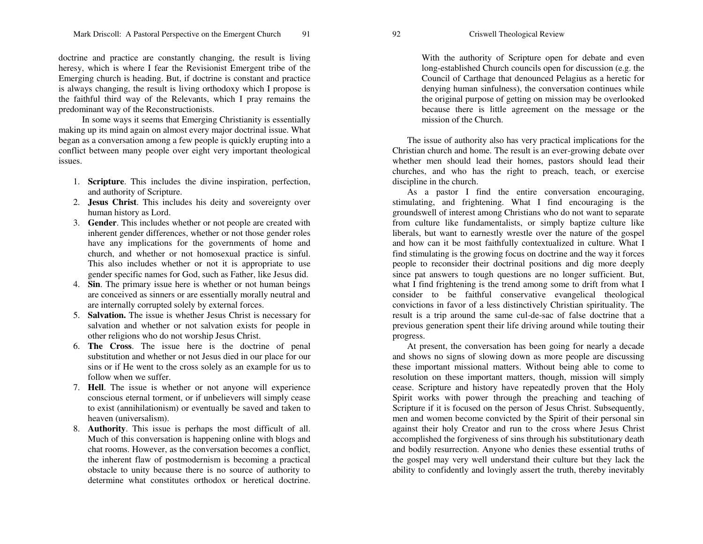doctrine and practice are constantly changing, the result is living heresy, which is where I fear the Revisionist Emergent tribe of the Emerging church is heading. But, if doctrine is constant and practice is always changing, the result is living orthodoxy which I propose is the faithful third way of the Relevants, which I pray remains the predominant way of the Reconstructionists.

In some ways it seems that Emerging Christianity is essentially making up its mind again on almost every major doctrinal issue. What began as <sup>a</sup> conversation among <sup>a</sup> few people is quickly erupting into <sup>a</sup> conflict between many people over eight very important theological issues.

- 1. **Scripture**. This includes the divine inspiration, perfection, and authority of Scripture.
- 2. **Jesus Christ**. This includes his deity and sovereignty over human history as Lord.
- 3. **Gender**. This includes whether or not people are created with inherent gender differences, whether or not those gender roles have any implications for the governments of home and church, and whether or not homosexual practice is sinful. This also includes whether or not it is appropriate to use gender specific names for God, such as Father, like Jesus did.
- 4. **Sin**. The primary issue here is whether or not human beings are conceived as sinners or are essentially morally neutral and are internally corrupted solely by external forces.
- 5. **Salvation.** The issue is whether Jesus Christ is necessary for salvation and whether or not salvation exists for people in other religions who do not worship Jesus Christ.
- 6. **The Cross**. The issue here is the doctrine of penal substitution and whether or not Jesus died in our place for our sins or if He went to the cross solely as an example for us to follow when we suffer.
- 7. **Hell**. The issue is whether or not anyone will experience conscious eternal torment, or if unbelievers will simply cease to exist (annihilationism) or eventually be saved and taken to heaven (universalism).
- 8. **Authority**. This issue is perhaps the most difficult of all. Much of this conversation is happening online with blogs and chat rooms. However, as the conversation becomes <sup>a</sup> conflict, the inherent flaw of postmodernism is becoming <sup>a</sup> practical obstacle to unity because there is no source of authority to determine what constitutes orthodox or heretical doctrine.

With the authority of Scripture open for debate and even long-established Church councils open for discussion (e.g. the Council of Carthage that denounced Pelagius as <sup>a</sup> heretic for denying human sinfulness), the conversation continues while the original purpose of getting on mission may be overlooked because there is little agreemen<sup>t</sup> on the message or the mission of the Church.

The issue of authority also has very practical implications for the Christian church and home. The result is an ever-growing debate over whether men should lead their homes, pastors should lead their churches, and who has the right to preach, teach, or exercise discipline in the church.

As a pastor I find the entire conversation encouraging, stimulating, and frightening. What I find encouraging is the groundswell of interest among Christians who do not want to separate from culture like fundamentalists, or simply baptize culture like liberals, but want to earnestly wrestle over the nature of the gospel and how can it be most faithfully contextualized in culture. What I find stimulating is the growing focus on doctrine and the way it forces people to reconsider their doctrinal positions and dig more deeply since pa<sup>t</sup> answers to tough questions are no longer sufficient. But, what I find frightening is the trend among some to drift from what I consider to be faithful conservative evangelical theological convictions in favor of <sup>a</sup> less distinctively Christian spirituality. The result is a trip around the same cul-de-sac of false doctrine that <sup>a</sup> previous generation spen<sup>t</sup> their life driving around while touting their progress.

At present, the conversation has been going for nearly <sup>a</sup> decade and shows no signs of slowing down as more people are discussing these important missional matters. Without being able to come to resolution on these important matters, though, mission will simply cease. Scripture and history have repeatedly proven that the Holy Spirit works with power through the preaching and teaching of Scripture if it is focused on the person of Jesus Christ. Subsequently, men and women become convicted by the Spirit of their personal sin against their holy Creator and run to the cross where Jesus Christ accomplished the forgiveness of sins through his substitutionary death and bodily resurrection. Anyone who denies these essential truths of the gospel may very well understand their culture but they lack the ability to confidently and lovingly assert the truth, thereby inevitably